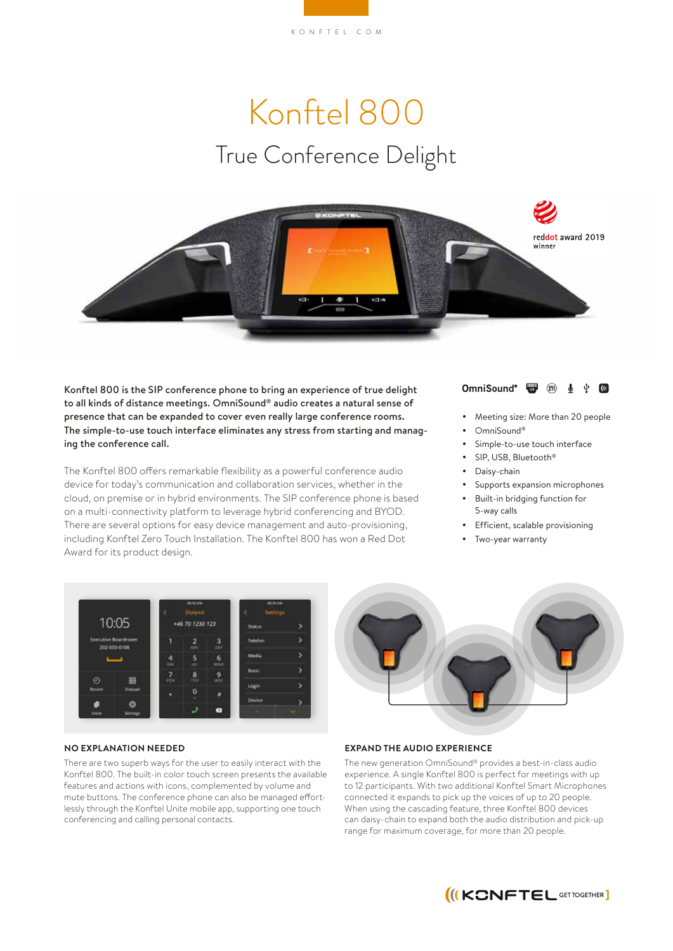# Konftel 800 True Conference Delight



Konftel 800 is the SIP conference phone to bring an experience of true delight to all kinds of distance meetings. OmniSound® audio creates a natural sense of presence that can be expanded to cover even really large conference rooms. The simple-to-use touch interface eliminates any stress from starting and managing the conference call.

The Konftel 800 offers remarkable flexibility as a powerful conference audio device for today's communication and collaboration services, whether in the cloud, on premise or in hybrid environments. The SIP conference phone is based on a multi-connectivity platform to leverage hybrid conferencing and BYOD. There are several options for easy device management and auto-provisioning, including Konftel Zero Touch Installation. The Konftel 800 has won a Red Dot Award for its product design.



- Meeting size: More than 20 people
	- OmniSound®
- Simple-to-use touch interface
- SIP, USB, Bluetooth®
- Daisy-chain
- Supports expansion microphones
- Built-in bridging function for 5-way calls
- Efficient, scalable provisioning
- Two-year warranty



#### **NO EXPLANATION NEEDED**

There are two superb ways for the user to easily interact with the Konftel 800. The built-in color touch screen presents the available features and actions with icons, complemented by volume and mute buttons. The conference phone can also be managed effortlessly through the Konftel Unite mobile app, supporting one touch conferencing and calling personal contacts.

### **EXPAND THE AUDIO EXPERIENCE**

The new generation OmniSound® provides a best-in-class audio experience. A single Konftel 800 is perfect for meetings with up to 12 participants. With two additional Konftel Smart Microphones connected it expands to pick up the voices of up to 20 people. When using the cascading feature, three Konftel 800 devices can daisy-chain to expand both the audio distribution and pick-up range for maximum coverage, for more than 20 people.